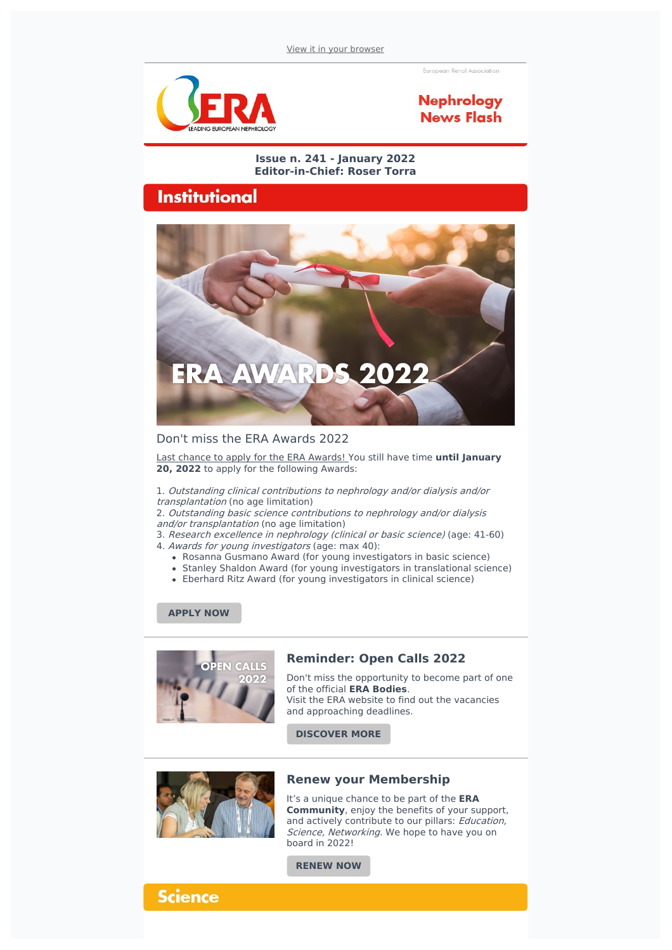European Renal Association



### **Nephrology News Flash**

#### **Issue n. 241 - January 2022 Editor-in-Chief: Roser Torra**

## **Institutional**



### Don't miss the ERA Awards 2022

Last chance to apply for the ERA Awards! You still have time **until January 20, 2022** to apply for the following Awards:

1. Outstanding clinical contributions to nephrology and/or dialysis and/or transplantation (no age limitation)

2. Outstanding basic science contributions to nephrology and/or dialysis and/or transplantation (no age limitation)

- 3. Research excellence in nephrology (clinical or basic science) (age: 41-60)
- 4. Awards for young investigators (age: max 40):
	- Rosanna Gusmano Award (for young investigators in basic science)
	- Stanley Shaldon Award (for young investigators in translational science)
	- Eberhard Ritz Award (for young investigators in clinical science)

### **[APPLY](https://www.era-online.org/en/about-era/governance/awards/) NOW**



### **Reminder: Open Calls 2022**

Don't miss the opportunity to become part of one of the official **ERA Bodies**. Visit the ERA website to find out the vacancies and approaching deadlines.

**[DISCOVER](https://www.era-online.org/en/open-calls-2022/) MORE**



### **Renew your Membership**

It's a unique chance to be part of the **ERA Community**, enjoy the benefits of your support, and actively contribute to our pillars: Education, Science, Networking. We hope to have you on board in 2022!

**[RENEW](https://www.era-online.org/en/my-era/#login) NOW**

### **Science**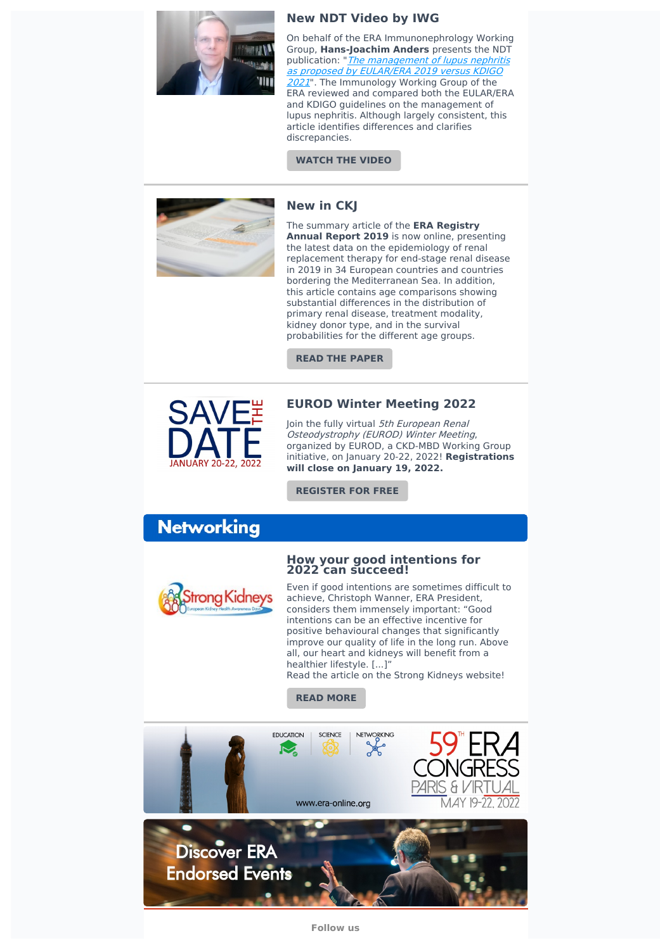

### **New NDT Video by IWG**

On behalf of the ERA Immunonephrology Working Group, **Hans-Joachim Anders** presents the NDT publication: "The [management](https://doi.org/10.1093/ndt/gfab351) of lupus nephritis as proposed by EULAR/ERA 2019 versus KDIGO 2021". The Immunology Working Group of the ERA reviewed and compared both the EULAR/ERA and KDIGO guidelines on the management of lupus nephritis. Although largely consistent, this article identifies differences and clarifies discrepancies.

#### **[WATCH](https://oup.cloud.panopto.eu/Panopto/Pages/Viewer.aspx?id=de140a27-e14a-4ebd-b99a-ae0400c71875) THE VIDEO**

**New in CKJ**



The summary article of the **ERA Registry Annual Report 2019** is now online, presenting the latest data on the epidemiology of renal replacement therapy for end-stage renal disease in 2019 in 34 European countries and countries bordering the Mediterranean Sea. In addition, this article contains age comparisons showing substantial differences in the distribution of primary renal disease, treatment modality, kidney donor type, and in the survival probabilities for the different age groups.

**READ THE [PAPER](https://academic.oup.com/ckj/advance-article/doi/10.1093/ckj/sfab273/6462932)**



### **EUROD Winter Meeting 2022**

Join the fully virtual 5th European Renal Osteodystrophy (EUROD) Winter Meeting, organized by EUROD, a CKD-MBD Working Group initiative, on January 20-22, 2022! **Registrations will close on January 19, 2022.**

**[REGISTER](https://www.era-online.org/en/congress-meetings/5th-winter-eurod-european-renal-osteodystrophy-meeting/#toggle-id-5) FOR FREE**

# **Networking**



#### **How your good intentions for 2022 can succeed!**

Even if good intentions are sometimes difficult to achieve, Christoph Wanner, ERA President, considers them immensely important: "Good intentions can be an effective incentive for positive behavioural changes that significantly improve our quality of life in the long run. Above all, our heart and kidneys will benefit from a healthier lifestyle. [...]"

Read the article on the Strong Kidneys website!

**READ [MORE](https://www.era-online.org/en/strongkidneys/blog/good-intentions-2022/)**